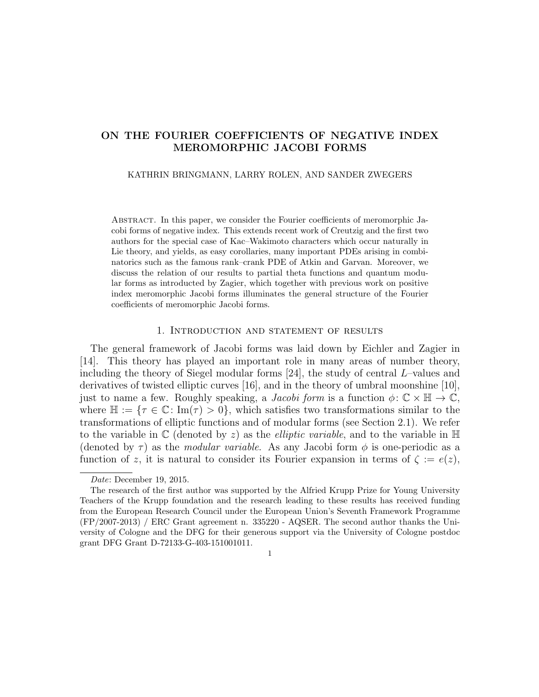# ON THE FOURIER COEFFICIENTS OF NEGATIVE INDEX MEROMORPHIC JACOBI FORMS

### KATHRIN BRINGMANN, LARRY ROLEN, AND SANDER ZWEGERS

Abstract. In this paper, we consider the Fourier coefficients of meromorphic Jacobi forms of negative index. This extends recent work of Creutzig and the first two authors for the special case of Kac–Wakimoto characters which occur naturally in Lie theory, and yields, as easy corollaries, many important PDEs arising in combinatorics such as the famous rank–crank PDE of Atkin and Garvan. Moreover, we discuss the relation of our results to partial theta functions and quantum modular forms as introducted by Zagier, which together with previous work on positive index meromorphic Jacobi forms illuminates the general structure of the Fourier coefficients of meromorphic Jacobi forms.

### 1. Introduction and statement of results

The general framework of Jacobi forms was laid down by Eichler and Zagier in [14]. This theory has played an important role in many areas of number theory, including the theory of Siegel modular forms [24], the study of central L–values and derivatives of twisted elliptic curves [16], and in the theory of umbral moonshine [10], just to name a few. Roughly speaking, a *Jacobi form* is a function  $\phi: \mathbb{C} \times \mathbb{H} \to \mathbb{C}$ , where  $\mathbb{H} := \{ \tau \in \mathbb{C} : \text{Im}(\tau) > 0 \}$ , which satisfies two transformations similar to the transformations of elliptic functions and of modular forms (see Section 2.1). We refer to the variable in  $\mathbb C$  (denoted by z) as the *elliptic variable*, and to the variable in  $\mathbb H$ (denoted by  $\tau$ ) as the *modular variable*. As any Jacobi form  $\phi$  is one-periodic as a function of z, it is natural to consider its Fourier expansion in terms of  $\zeta := e(z)$ ,

1

Date: December 19, 2015.

The research of the first author was supported by the Alfried Krupp Prize for Young University Teachers of the Krupp foundation and the research leading to these results has received funding from the European Research Council under the European Union's Seventh Framework Programme (FP/2007-2013) / ERC Grant agreement n. 335220 - AQSER. The second author thanks the University of Cologne and the DFG for their generous support via the University of Cologne postdoc grant DFG Grant D-72133-G-403-151001011.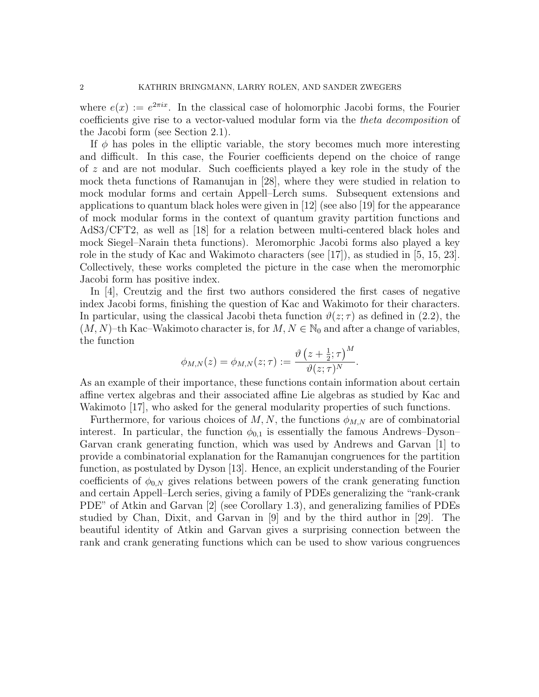where  $e(x) := e^{2\pi ix}$ . In the classical case of holomorphic Jacobi forms, the Fourier coefficients give rise to a vector-valued modular form via the theta decomposition of the Jacobi form (see Section 2.1).

If  $\phi$  has poles in the elliptic variable, the story becomes much more interesting and difficult. In this case, the Fourier coefficients depend on the choice of range of z and are not modular. Such coefficients played a key role in the study of the mock theta functions of Ramanujan in [28], where they were studied in relation to mock modular forms and certain Appell–Lerch sums. Subsequent extensions and applications to quantum black holes were given in [12] (see also [19] for the appearance of mock modular forms in the context of quantum gravity partition functions and AdS3/CFT2, as well as [18] for a relation between multi-centered black holes and mock Siegel–Narain theta functions). Meromorphic Jacobi forms also played a key role in the study of Kac and Wakimoto characters (see  $|17|$ ), as studied in [5, 15, 23]. Collectively, these works completed the picture in the case when the meromorphic Jacobi form has positive index.

In [4], Creutzig and the first two authors considered the first cases of negative index Jacobi forms, finishing the question of Kac and Wakimoto for their characters. In particular, using the classical Jacobi theta function  $\vartheta(z;\tau)$  as defined in (2.2), the  $(M, N)$ –th Kac–Wakimoto character is, for  $M, N \in \mathbb{N}_0$  and after a change of variables, the function

$$
\phi_{M,N}(z) = \phi_{M,N}(z;\tau) := \frac{\vartheta\left(z + \frac{1}{2};\tau\right)^M}{\vartheta(z;\tau)^N}.
$$

As an example of their importance, these functions contain information about certain affine vertex algebras and their associated affine Lie algebras as studied by Kac and Wakimoto [17], who asked for the general modularity properties of such functions.

Furthermore, for various choices of  $M, N$ , the functions  $\phi_{M,N}$  are of combinatorial interest. In particular, the function  $\phi_{0,1}$  is essentially the famous Andrews–Dyson– Garvan crank generating function, which was used by Andrews and Garvan [1] to provide a combinatorial explanation for the Ramanujan congruences for the partition function, as postulated by Dyson [13]. Hence, an explicit understanding of the Fourier coefficients of  $\phi_{0,N}$  gives relations between powers of the crank generating function and certain Appell–Lerch series, giving a family of PDEs generalizing the "rank-crank PDE" of Atkin and Garvan [2] (see Corollary 1.3), and generalizing families of PDEs studied by Chan, Dixit, and Garvan in [9] and by the third author in [29]. The beautiful identity of Atkin and Garvan gives a surprising connection between the rank and crank generating functions which can be used to show various congruences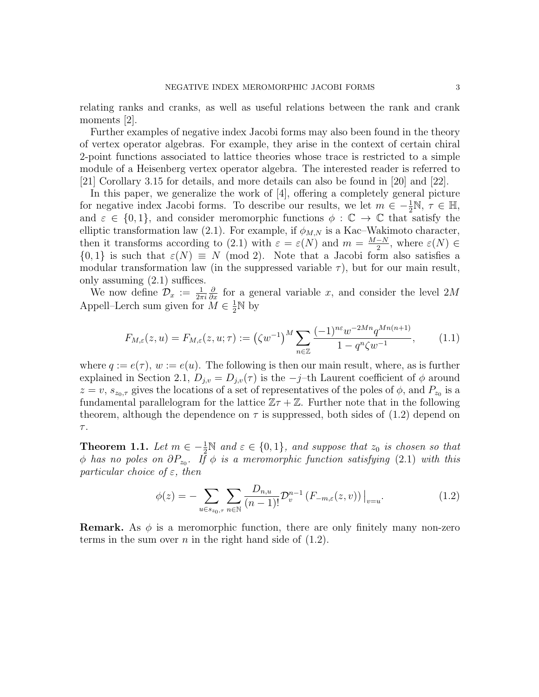relating ranks and cranks, as well as useful relations between the rank and crank moments [2].

Further examples of negative index Jacobi forms may also been found in the theory of vertex operator algebras. For example, they arise in the context of certain chiral 2-point functions associated to lattice theories whose trace is restricted to a simple module of a Heisenberg vertex operator algebra. The interested reader is referred to [21] Corollary 3.15 for details, and more details can also be found in [20] and [22].

In this paper, we generalize the work of [4], offering a completely general picture for negative index Jacobi forms. To describe our results, we let  $m \in -\frac{1}{2}N$ ,  $\tau \in \mathbb{H}$ , and  $\varepsilon \in \{0,1\}$ , and consider meromorphic functions  $\phi : \mathbb{C} \to \mathbb{C}$  that satisfy the elliptic transformation law (2.1). For example, if  $\phi_{M,N}$  is a Kac–Wakimoto character, then it transforms according to (2.1) with  $\varepsilon = \varepsilon(N)$  and  $m = \frac{M-N}{2}$  $\frac{-N}{2}$ , where  $\varepsilon(N) \in$  $\{0,1\}$  is such that  $\varepsilon(N) \equiv N \pmod{2}$ . Note that a Jacobi form also satisfies a modular transformation law (in the suppressed variable  $\tau$ ), but for our main result, only assuming (2.1) suffices.

We now define  $\mathcal{D}_x := \frac{1}{2\pi i}$  $\frac{\partial}{\partial x}$  for a general variable x, and consider the level 2M Appell–Lerch sum given for  $\widetilde{M} \in \frac{1}{2} \mathbb{N}$  by

$$
F_{M,\varepsilon}(z,u) = F_{M,\varepsilon}(z,u;\tau) := \left(\zeta w^{-1}\right)^M \sum_{n \in \mathbb{Z}} \frac{(-1)^{n\varepsilon} w^{-2Mn} q^{Mn(n+1)}}{1 - q^n \zeta w^{-1}},\tag{1.1}
$$

where  $q := e(\tau)$ ,  $w := e(u)$ . The following is then our main result, where, as is further explained in Section 2.1,  $D_{j,v} = D_{j,v}(\tau)$  is the  $-j$ –th Laurent coefficient of  $\phi$  around  $z = v$ ,  $s_{z_0, \tau}$  gives the locations of a set of representatives of the poles of  $\phi$ , and  $P_{z_0}$  is a fundamental parallelogram for the lattice  $\mathbb{Z}\tau + \mathbb{Z}$ . Further note that in the following theorem, although the dependence on  $\tau$  is suppressed, both sides of (1.2) depend on  $\tau.$ 

**Theorem 1.1.** Let  $m \in \{-\frac{1}{2}\mathbb{N} \text{ and } \varepsilon \in \{0,1\}$ , and suppose that  $z_0$  is chosen so that  $\phi$  has no poles on  $\partial P_{z_0}$ . If  $\phi$  is a meromorphic function satisfying (2.1) with this particular choice of  $\varepsilon$ , then

$$
\phi(z) = -\sum_{u \in s_{z_0, \tau}} \sum_{n \in \mathbb{N}} \frac{D_{n, u}}{(n-1)!} \mathcal{D}_v^{n-1} \left( F_{-m, \varepsilon}(z, v) \right) \Big|_{v=u}.
$$
 (1.2)

**Remark.** As  $\phi$  is a meromorphic function, there are only finitely many non-zero terms in the sum over  $n$  in the right hand side of  $(1.2)$ .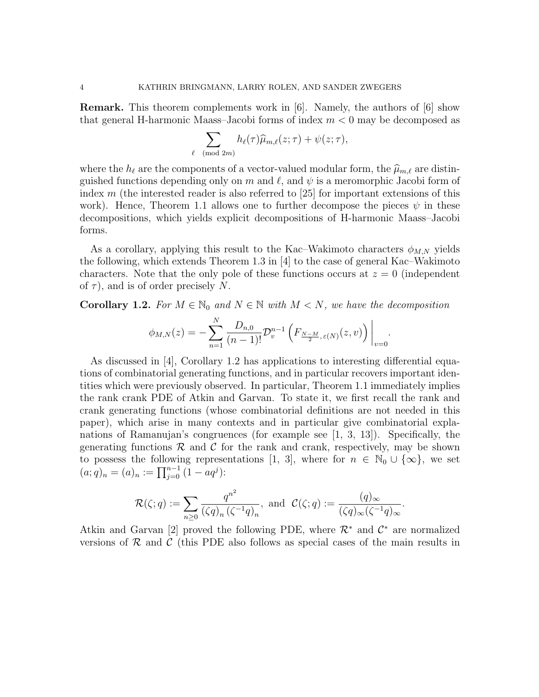Remark. This theorem complements work in [6]. Namely, the authors of [6] show that general H-harmonic Maass–Jacobi forms of index  $m < 0$  may be decomposed as

$$
\sum_{\ell \pmod{2m}} h_{\ell}(\tau) \widehat{\mu}_{m,\ell}(z;\tau) + \psi(z;\tau),
$$

where the  $h_\ell$  are the components of a vector-valued modular form, the  $\hat{\mu}_{m,\ell}$  are distinguished functions depending only on m and  $\ell$ , and  $\psi$  is a meromorphic Jacobi form of index  $m$  (the interested reader is also referred to [25] for important extensions of this work). Hence, Theorem 1.1 allows one to further decompose the pieces  $\psi$  in these decompositions, which yields explicit decompositions of H-harmonic Maass–Jacobi forms.

As a corollary, applying this result to the Kac–Wakimoto characters  $\phi_{M,N}$  yields the following, which extends Theorem 1.3 in [4] to the case of general Kac–Wakimoto characters. Note that the only pole of these functions occurs at  $z = 0$  (independent of  $\tau$ ), and is of order precisely N.

**Corollary 1.2.** For  $M \in \mathbb{N}_0$  and  $N \in \mathbb{N}$  with  $M \leq N$ , we have the decomposition

$$
\phi_{M,N}(z) = -\sum_{n=1}^{N} \frac{D_{n,0}}{(n-1)!} \mathcal{D}_{v}^{n-1} \left( F_{\frac{N-M}{2},\varepsilon(N)}(z,v) \right) \Big|_{v=0}.
$$

As discussed in [4], Corollary 1.2 has applications to interesting differential equations of combinatorial generating functions, and in particular recovers important identities which were previously observed. In particular, Theorem 1.1 immediately implies the rank crank PDE of Atkin and Garvan. To state it, we first recall the rank and crank generating functions (whose combinatorial definitions are not needed in this paper), which arise in many contexts and in particular give combinatorial explanations of Ramanujan's congruences (for example see [1, 3, 13]). Specifically, the generating functions  $\mathcal R$  and  $\mathcal C$  for the rank and crank, respectively, may be shown to possess the following representations [1, 3], where for  $n \in \mathbb{N}_0 \cup \{\infty\}$ , we set  $(a;q)_n = (a)_n := \prod_{j=0}^{n-1} (1 - aq^j)$ :

$$
\mathcal{R}(\zeta;q):=\sum_{n\geq 0}\frac{q^{n^2}}{(\zeta q)_n(\zeta^{-1}q)_n},\ \text{and}\ \ \mathcal{C}(\zeta;q):=\frac{(q)_{\infty}}{(\zeta q)_{\infty}(\zeta^{-1}q)_{\infty}}.
$$

Atkin and Garvan [2] proved the following PDE, where  $\mathcal{R}^*$  and  $\mathcal{C}^*$  are normalized versions of  $R$  and  $C$  (this PDE also follows as special cases of the main results in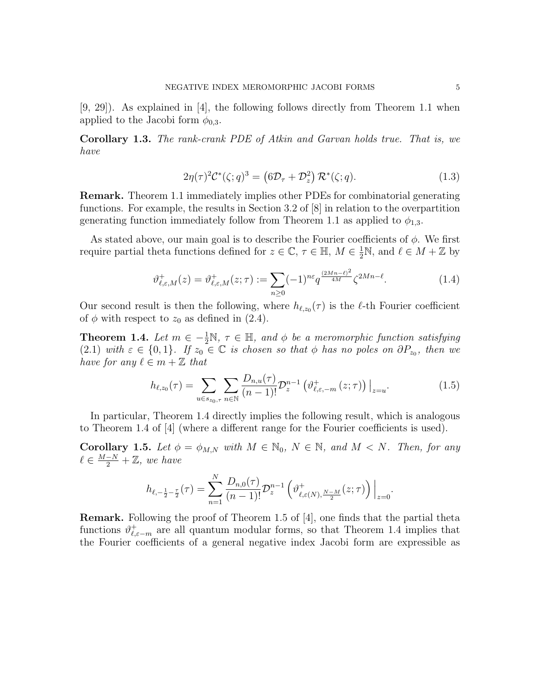[9, 29]). As explained in [4], the following follows directly from Theorem 1.1 when applied to the Jacobi form  $\phi_{0,3}$ .

Corollary 1.3. The rank-crank PDE of Atkin and Garvan holds true. That is, we have

$$
2\eta(\tau)^2 \mathcal{C}^*(\zeta;q)^3 = \left(6\mathcal{D}_\tau + \mathcal{D}_z^2\right) \mathcal{R}^*(\zeta;q). \tag{1.3}
$$

Remark. Theorem 1.1 immediately implies other PDEs for combinatorial generating functions. For example, the results in Section 3.2 of [8] in relation to the overpartition generating function immediately follow from Theorem 1.1 as applied to  $\phi_{1,3}$ .

As stated above, our main goal is to describe the Fourier coefficients of  $\phi$ . We first require partial theta functions defined for  $z \in \mathbb{C}$ ,  $\tau \in \mathbb{H}$ ,  $M \in \frac{1}{2}\mathbb{N}$ , and  $\ell \in M + \mathbb{Z}$  by

$$
\vartheta_{\ell,\varepsilon,M}^+(z) = \vartheta_{\ell,\varepsilon,M}^+(z;\tau) := \sum_{n\geq 0} (-1)^{n\varepsilon} q^{\frac{(2Mn-\ell)^2}{4M}} \zeta^{2Mn-\ell}.
$$
\n(1.4)

Our second result is then the following, where  $h_{\ell,z_0}(\tau)$  is the  $\ell$ -th Fourier coefficient of  $\phi$  with respect to  $z_0$  as defined in (2.4).

**Theorem 1.4.** Let  $m \in -\frac{1}{2}N$ ,  $\tau \in \mathbb{H}$ , and  $\phi$  be a meromorphic function satisfying (2.1) with  $\varepsilon \in \{0,1\}$ . If  $z_0 \in \mathbb{C}$  is chosen so that  $\phi$  has no poles on  $\partial P_{z_0}$ , then we have for any  $\ell \in m + \mathbb{Z}$  that

$$
h_{\ell,z_0}(\tau) = \sum_{u \in s_{z_0,\tau}} \sum_{n \in \mathbb{N}} \frac{D_{n,u}(\tau)}{(n-1)!} \mathcal{D}_z^{n-1} \left( \vartheta_{\ell,\varepsilon,-m}^+ (z;\tau) \right) \Big|_{z=u}.
$$
 (1.5)

In particular, Theorem 1.4 directly implies the following result, which is analogous to Theorem 1.4 of [4] (where a different range for the Fourier coefficients is used).

Corollary 1.5. Let  $\phi = \phi_{M,N}$  with  $M \in \mathbb{N}_0$ ,  $N \in \mathbb{N}$ , and  $M < N$ . Then, for any  $\ell \in \frac{M-N}{2} + \mathbb{Z}$ , we have

$$
h_{\ell,-\frac{1}{2}-\frac{\tau}{2}}(\tau) = \sum_{n=1}^{N} \frac{D_{n,0}(\tau)}{(n-1)!} \mathcal{D}_z^{n-1} \left( \vartheta_{\ell,\varepsilon(N),\frac{N-M}{2}}^+(z;\tau) \right) \Big|_{z=0}.
$$

Remark. Following the proof of Theorem 1.5 of [4], one finds that the partial theta functions  $\vartheta_{\ell,\varepsilon-m}^+$  are all quantum modular forms, so that Theorem 1.4 implies that the Fourier coefficients of a general negative index Jacobi form are expressible as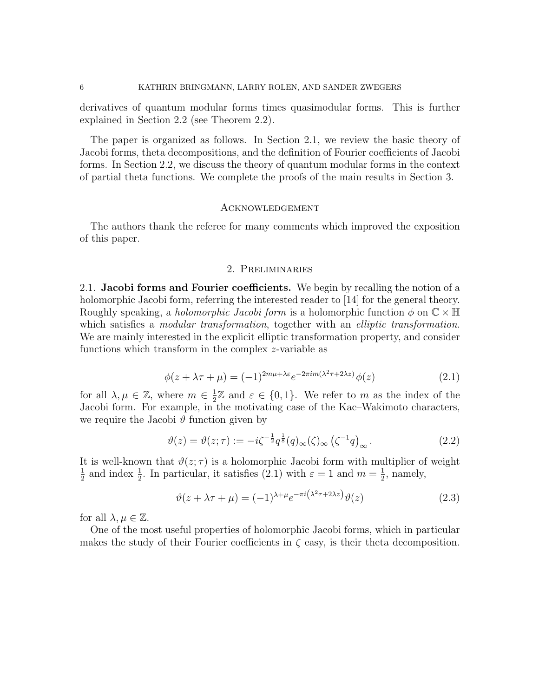derivatives of quantum modular forms times quasimodular forms. This is further explained in Section 2.2 (see Theorem 2.2).

The paper is organized as follows. In Section 2.1, we review the basic theory of Jacobi forms, theta decompositions, and the definition of Fourier coefficients of Jacobi forms. In Section 2.2, we discuss the theory of quantum modular forms in the context of partial theta functions. We complete the proofs of the main results in Section 3.

## **ACKNOWLEDGEMENT**

The authors thank the referee for many comments which improved the exposition of this paper.

### 2. Preliminaries

2.1. Jacobi forms and Fourier coefficients. We begin by recalling the notion of a holomorphic Jacobi form, referring the interested reader to [14] for the general theory. Roughly speaking, a *holomorphic Jacobi form* is a holomorphic function  $\phi$  on  $\mathbb{C} \times \mathbb{H}$ which satisfies a *modular transformation*, together with an *elliptic transformation*. We are mainly interested in the explicit elliptic transformation property, and consider functions which transform in the complex z-variable as

$$
\phi(z + \lambda \tau + \mu) = (-1)^{2m\mu + \lambda \varepsilon} e^{-2\pi i m(\lambda^2 \tau + 2\lambda z)} \phi(z)
$$
\n(2.1)

for all  $\lambda, \mu \in \mathbb{Z}$ , where  $m \in \frac{1}{2}$  $\frac{1}{2}\mathbb{Z}$  and  $\varepsilon \in \{0,1\}$ . We refer to m as the index of the Jacobi form. For example, in the motivating case of the Kac–Wakimoto characters, we require the Jacobi  $\vartheta$  function given by

$$
\vartheta(z) = \vartheta(z;\tau) := -i\zeta^{-\frac{1}{2}} q^{\frac{1}{8}} (q)_{\infty} (\zeta)_{\infty} (\zeta^{-1} q)_{\infty}.
$$
\n(2.2)

It is well-known that  $\vartheta(z;\tau)$  is a holomorphic Jacobi form with multiplier of weight 1  $\frac{1}{2}$  and index  $\frac{1}{2}$ . In particular, it satisfies (2.1) with  $\varepsilon = 1$  and  $m = \frac{1}{2}$  $\frac{1}{2}$ , namely,

$$
\vartheta(z + \lambda \tau + \mu) = (-1)^{\lambda + \mu} e^{-\pi i \left(\lambda^2 \tau + 2\lambda z\right)} \vartheta(z)
$$
\n(2.3)

for all  $\lambda, \mu \in \mathbb{Z}$ .

One of the most useful properties of holomorphic Jacobi forms, which in particular makes the study of their Fourier coefficients in  $\zeta$  easy, is their theta decomposition.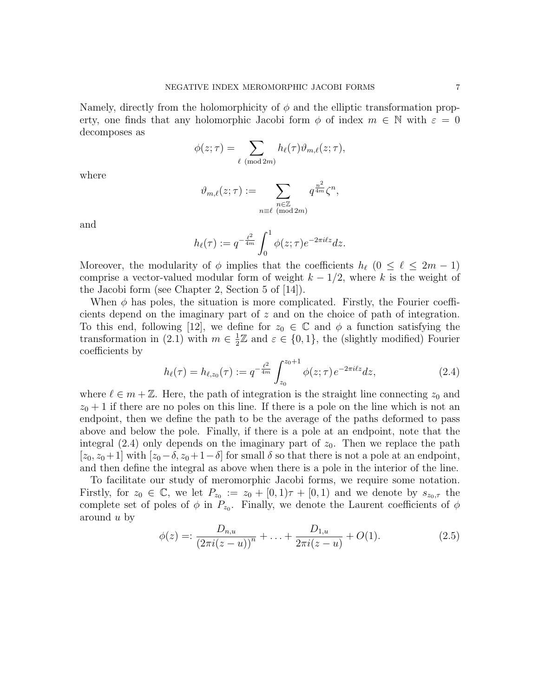Namely, directly from the holomorphicity of  $\phi$  and the elliptic transformation property, one finds that any holomorphic Jacobi form  $\phi$  of index  $m \in \mathbb{N}$  with  $\varepsilon = 0$ decomposes as

$$
\phi(z;\tau) = \sum_{\ell \pmod{2m}} h_{\ell}(\tau) \vartheta_{m,\ell}(z;\tau),
$$

where

$$
\vartheta_{m,\ell}(z;\tau) := \sum_{\substack{n \in \mathbb{Z} \\ n \equiv \ell \pmod{2m}}} q^{\frac{n^2}{4m}} \zeta^n,
$$

and

$$
h_{\ell}(\tau) := q^{-\frac{\ell^2}{4m}} \int_0^1 \phi(z;\tau) e^{-2\pi i \ell z} dz.
$$

Moreover, the modularity of  $\phi$  implies that the coefficients  $h_\ell$  ( $0 \leq \ell \leq 2m - 1$ ) comprise a vector-valued modular form of weight  $k - \frac{1}{2}$ , where k is the weight of the Jacobi form (see Chapter 2, Section 5 of [14]).

When  $\phi$  has poles, the situation is more complicated. Firstly, the Fourier coefficients depend on the imaginary part of z and on the choice of path of integration. To this end, following [12], we define for  $z_0 \in \mathbb{C}$  and  $\phi$  a function satisfying the transformation in (2.1) with  $m \in \frac{1}{2}$  $\frac{1}{2}\mathbb{Z}$  and  $\varepsilon \in \{0,1\}$ , the (slightly modified) Fourier coefficients by

$$
h_{\ell}(\tau) = h_{\ell, z_0}(\tau) := q^{-\frac{\ell^2}{4m}} \int_{z_0}^{z_0+1} \phi(z; \tau) e^{-2\pi i \ell z} dz,
$$
 (2.4)

where  $\ell \in m + \mathbb{Z}$ . Here, the path of integration is the straight line connecting  $z_0$  and  $z_0 + 1$  if there are no poles on this line. If there is a pole on the line which is not an endpoint, then we define the path to be the average of the paths deformed to pass above and below the pole. Finally, if there is a pole at an endpoint, note that the integral (2.4) only depends on the imaginary part of  $z_0$ . Then we replace the path  $[z_0, z_0+1]$  with  $[z_0-\delta, z_0+1-\delta]$  for small  $\delta$  so that there is not a pole at an endpoint, and then define the integral as above when there is a pole in the interior of the line.

To facilitate our study of meromorphic Jacobi forms, we require some notation. Firstly, for  $z_0 \in \mathbb{C}$ , we let  $P_{z_0} := z_0 + [0,1)\tau + [0,1)$  and we denote by  $s_{z_0,\tau}$  the complete set of poles of  $\phi$  in  $P_{z_0}$ . Finally, we denote the Laurent coefficients of  $\phi$ around u by

$$
\phi(z) =: \frac{D_{n,u}}{\left(2\pi i(z-u)\right)^n} + \ldots + \frac{D_{1,u}}{2\pi i(z-u)} + O(1). \tag{2.5}
$$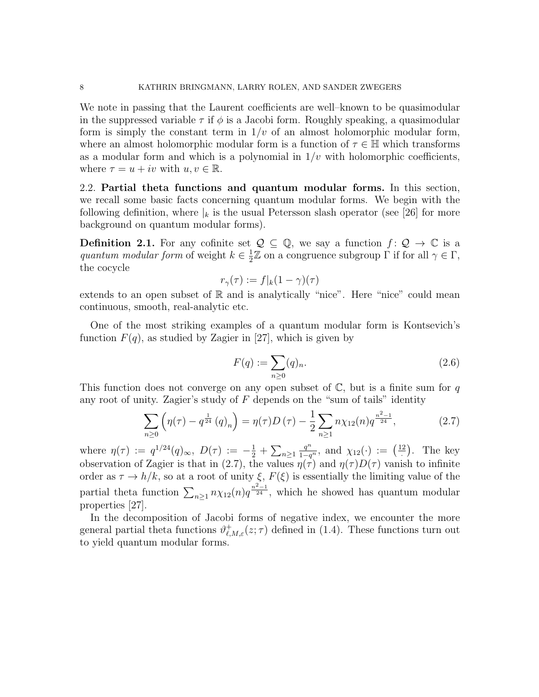We note in passing that the Laurent coefficients are well–known to be quasimodular in the suppressed variable  $\tau$  if  $\phi$  is a Jacobi form. Roughly speaking, a quasimodular form is simply the constant term in  $1/v$  of an almost holomorphic modular form, where an almost holomorphic modular form is a function of  $\tau \in \mathbb{H}$  which transforms as a modular form and which is a polynomial in  $1/v$  with holomorphic coefficients, where  $\tau = u + iv$  with  $u, v \in \mathbb{R}$ .

2.2. Partial theta functions and quantum modular forms. In this section, we recall some basic facts concerning quantum modular forms. We begin with the following definition, where  $\vert_k$  is the usual Petersson slash operator (see [26] for more background on quantum modular forms).

**Definition 2.1.** For any cofinite set  $\mathcal{Q} \subseteq \mathbb{Q}$ , we say a function  $f: \mathcal{Q} \to \mathbb{C}$  is a quantum modular form of weight  $k \in \frac{1}{2}$  $\frac{1}{2}\mathbb{Z}$  on a congruence subgroup  $\Gamma$  if for all  $\gamma \in \Gamma$ , the cocycle

$$
r_{\gamma}(\tau) := f|_{k}(1 - \gamma)(\tau)
$$

extends to an open subset of  $\mathbb R$  and is analytically "nice". Here "nice" could mean continuous, smooth, real-analytic etc.

One of the most striking examples of a quantum modular form is Kontsevich's function  $F(q)$ , as studied by Zagier in [27], which is given by

$$
F(q) := \sum_{n \ge 0} (q)_n.
$$
 (2.6)

This function does not converge on any open subset of  $\mathbb{C}$ , but is a finite sum for q any root of unity. Zagier's study of  $F$  depends on the "sum of tails" identity

$$
\sum_{n\geq 0} \left( \eta(\tau) - q^{\frac{1}{24}} (q)_n \right) = \eta(\tau) D(\tau) - \frac{1}{2} \sum_{n\geq 1} n \chi_{12}(n) q^{\frac{n^2 - 1}{24}}, \tag{2.7}
$$

where  $\eta(\tau) := q^{1/24}(q)_{\infty}, D(\tau) := -\frac{1}{2} + \sum_{n \geq 1}$  $\frac{q^n}{1-q^n}$ , and  $\chi_{12}(\cdot) := \left(\frac{12}{1-q}\right)$  $\frac{2}{1}$ . The key observation of Zagier is that in (2.7), the values  $\eta(\tau)$  and  $\eta(\tau)D(\tau)$  vanish to infinite order as  $\tau \to h/k$ , so at a root of unity  $\xi$ ,  $F(\xi)$  is essentially the limiting value of the partial theta function  $\sum_{n\geq 1} n\chi_{12}(n)q^{\frac{n^2-1}{24}}$ , which he showed has quantum modular properties [27].

In the decomposition of Jacobi forms of negative index, we encounter the more general partial theta functions  $\vartheta_{\ell,M,\varepsilon}^+(z;\tau)$  defined in (1.4). These functions turn out to yield quantum modular forms.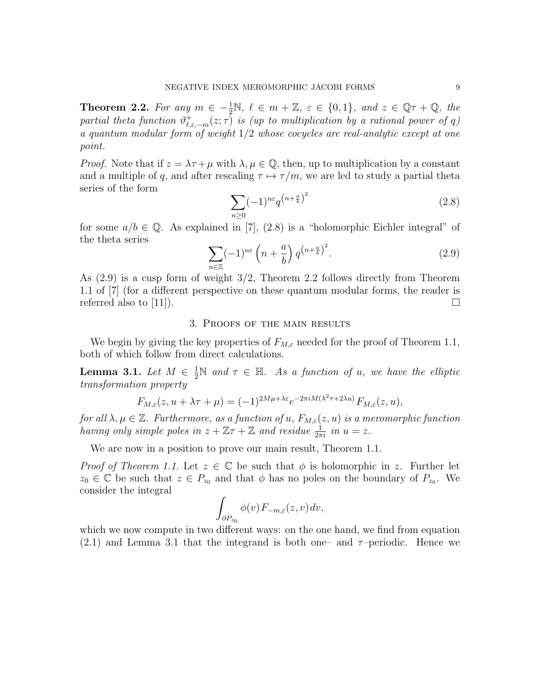**Theorem 2.2.** For any  $m \in -\frac{1}{2}N$ ,  $\ell \in m + \mathbb{Z}$ ,  $\varepsilon \in \{0, 1\}$ , and  $z \in \mathbb{Q}\tau + \mathbb{Q}$ , the partial theta function  $\vartheta_{\ell,\varepsilon,-m}^+(z;\tau)$  is (up to multiplication by a rational power of q) a quantum modular form of weight  $1/2$  whose cocycles are real-analytic except at one point.

*Proof.* Note that if  $z = \lambda \tau + \mu$  with  $\lambda, \mu \in \mathbb{Q}$ , then, up to multiplication by a constant and a multiple of q, and after rescaling  $\tau \mapsto \tau/m$ , we are led to study a partial theta series of the form

$$
\sum_{n\geq 0} (-1)^{n\varepsilon} q^{\left(n+\frac{a}{b}\right)^2} \tag{2.8}
$$

for some  $a/b \in \mathbb{Q}$ . As explained in [7], (2.8) is a "holomorphic Eichler integral" of the theta series

$$
\sum_{n\in\mathbb{Z}} (-1)^{n\varepsilon} \left(n + \frac{a}{b}\right) q^{\left(n + \frac{a}{b}\right)^2}.
$$
 (2.9)

As (2.9) is a cusp form of weight 3/2, Theorem 2.2 follows directly from Theorem 1.1 of [7] (for a different perspective on these quantum modular forms, the reader is referred also to [11]).  $\Box$ 

## 3. Proofs of the main results

We begin by giving the key properties of  $F_{M,\varepsilon}$  needed for the proof of Theorem 1.1, both of which follow from direct calculations.

**Lemma 3.1.** Let  $M \in \frac{1}{2}N$  and  $\tau \in \mathbb{H}$ . As a function of u, we have the elliptic transformation property

$$
F_{M,\varepsilon}(z, u + \lambda \tau + \mu) = (-1)^{2M\mu + \lambda \varepsilon} e^{-2\pi i M(\lambda^2 \tau + 2\lambda u)} F_{M,\varepsilon}(z, u),
$$

for all  $\lambda, \mu \in \mathbb{Z}$ . Furthermore, as a function of u,  $F_{M,\varepsilon}(z, u)$  is a meromorphic function having only simple poles in  $z + \mathbb{Z}\tau + \mathbb{Z}$  and residue  $\frac{1}{2\pi i}$  in  $u = z$ .

We are now in a position to prove our main result, Theorem 1.1.

*Proof of Theorem 1.1.* Let  $z \in \mathbb{C}$  be such that  $\phi$  is holomorphic in z. Further let  $z_0 \in \mathbb{C}$  be such that  $z \in P_{z_0}$  and that  $\phi$  has no poles on the boundary of  $P_{z_0}$ . We consider the integral

$$
\int_{\partial P_{z_0}} \phi(v) F_{-m,\varepsilon}(z,v) dv,
$$

which we now compute in two different ways: on the one hand, we find from equation  $(2.1)$  and Lemma 3.1 that the integrand is both one– and  $\tau$ -periodic. Hence we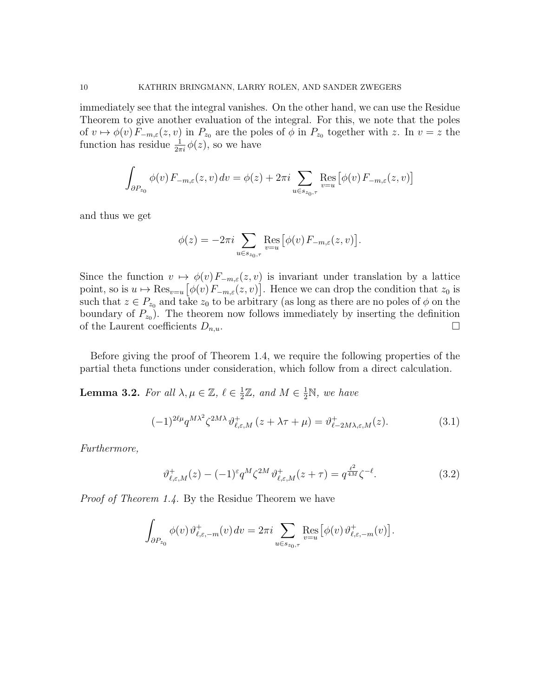immediately see that the integral vanishes. On the other hand, we can use the Residue Theorem to give another evaluation of the integral. For this, we note that the poles of  $v \mapsto \phi(v) F_{-m,\varepsilon}(z, v)$  in  $P_{z_0}$  are the poles of  $\phi$  in  $P_{z_0}$  together with z. In  $v = z$  the function has residue  $\frac{1}{2\pi i}\phi(z)$ , so we have

$$
\int_{\partial P_{z_0}} \phi(v) F_{-m,\varepsilon}(z,v) dv = \phi(z) + 2\pi i \sum_{u \in s_{z_0,\tau}} \operatorname{Res}_{v=u} \big[ \phi(v) F_{-m,\varepsilon}(z,v) \big]
$$

and thus we get

$$
\phi(z) = -2\pi i \sum_{u \in s_{z_0, \tau}} \text{Res}_{v=u} \left[ \phi(v) F_{-m,\varepsilon}(z,v) \right].
$$

Since the function  $v \mapsto \phi(v)F_{-m,\varepsilon}(z,v)$  is invariant under translation by a lattice point, so is  $u \mapsto \operatorname{Res}_{v=u} [\phi(v) F_{-m,\varepsilon}(z,v)]$ . Hence we can drop the condition that  $z_0$  is such that  $z \in P_{z_0}$  and take  $z_0$  to be arbitrary (as long as there are no poles of  $\phi$  on the boundary of  $P_{z_0}$ ). The theorem now follows immediately by inserting the definition of the Laurent coefficients  $D_{n,u}$ .

Before giving the proof of Theorem 1.4, we require the following properties of the partial theta functions under consideration, which follow from a direct calculation.

**Lemma 3.2.** For all  $\lambda, \mu \in \mathbb{Z}, \ell \in \frac{1}{2}$  $\frac{1}{2}\mathbb{Z}$ , and  $M \in \frac{1}{2}\mathbb{N}$ , we have

$$
(-1)^{2\ell\mu}q^{M\lambda^2}\zeta^{2M\lambda}\vartheta^+_{\ell,\varepsilon,M}(z+\lambda\tau+\mu)=\vartheta^+_{\ell-2M\lambda,\varepsilon,M}(z). \tag{3.1}
$$

Furthermore,

$$
\vartheta_{\ell,\varepsilon,M}^+(z) - (-1)^{\varepsilon} q^M \zeta^{2M} \vartheta_{\ell,\varepsilon,M}^+(z+\tau) = q^{\frac{\ell^2}{4M}} \zeta^{-\ell}.
$$
\n(3.2)

Proof of Theorem 1.4. By the Residue Theorem we have

$$
\int_{\partial P_{z_0}} \phi(v) \vartheta_{\ell, \varepsilon, -m}^+(v) \, dv = 2\pi i \sum_{u \in s_{z_0, \tau}} \operatorname{Res}_{v=u} \big[ \phi(v) \vartheta_{\ell, \varepsilon, -m}^+(v) \big].
$$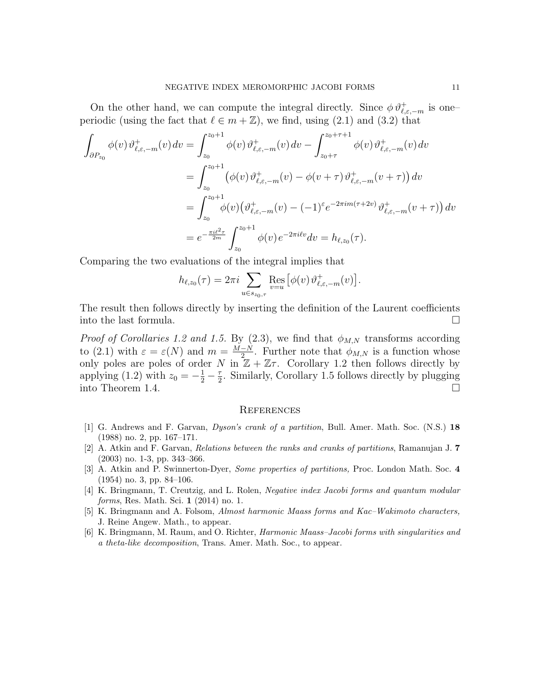On the other hand, we can compute the integral directly. Since  $\phi \vartheta_{\ell,\varepsilon,-m}^{+}$  is oneperiodic (using the fact that  $\ell \in m + \mathbb{Z}$ ), we find, using (2.1) and (3.2) that

$$
\int_{\partial P_{z_0}} \phi(v) \vartheta_{\ell,\varepsilon,-m}^+(v) dv = \int_{z_0}^{z_0+1} \phi(v) \vartheta_{\ell,\varepsilon,-m}^+(v) dv - \int_{z_0+\tau}^{z_0+\tau+1} \phi(v) \vartheta_{\ell,\varepsilon,-m}^+(v) dv \n= \int_{z_0}^{z_0+1} (\phi(v) \vartheta_{\ell,\varepsilon,-m}^+(v) - \phi(v+\tau) \vartheta_{\ell,\varepsilon,-m}^+(v+\tau)) dv \n= \int_{z_0}^{z_0+1} \phi(v) (\vartheta_{\ell,\varepsilon,-m}^+(v) - (-1)^\varepsilon e^{-2\pi i m(\tau+2v)} \vartheta_{\ell,\varepsilon,-m}^+(v+\tau)) dv \n= e^{-\frac{\pi i \ell^2 \tau}{2m}} \int_{z_0}^{z_0+1} \phi(v) e^{-2\pi i \ell v} dv = h_{\ell,z_0}(\tau).
$$

Comparing the two evaluations of the integral implies that

$$
h_{\ell,z_0}(\tau) = 2\pi i \sum_{u \in s_{z_0,\tau}} \text{Res}_{v=u} \left[ \phi(v) \vartheta_{\ell,\varepsilon,-m}^+(v) \right].
$$

The result then follows directly by inserting the definition of the Laurent coefficients into the last formula.

*Proof of Corollaries 1.2 and 1.5.* By (2.3), we find that  $\phi_{M,N}$  transforms according to (2.1) with  $\varepsilon = \varepsilon(N)$  and  $m = \frac{M-N}{2}$  $\frac{-N}{2}$ . Further note that  $\phi_{M,N}$  is a function whose only poles are poles of order N in  $\mathbb{Z} + \mathbb{Z}\tau$ . Corollary 1.2 then follows directly by applying (1.2) with  $z_0 = -\frac{1}{2} - \frac{\tau}{2}$  $\frac{\tau}{2}$ . Similarly, Corollary 1.5 follows directly by plugging into Theorem 1.4.

#### **REFERENCES**

- [1] G. Andrews and F. Garvan, Dyson's crank of a partition, Bull. Amer. Math. Soc. (N.S.) 18 (1988) no. 2, pp. 167–171.
- [2] A. Atkin and F. Garvan, Relations between the ranks and cranks of partitions, Ramanujan J. 7 (2003) no. 1-3, pp. 343–366.
- [3] A. Atkin and P. Swinnerton-Dyer, Some properties of partitions, Proc. London Math. Soc. 4 (1954) no. 3, pp. 84–106.
- [4] K. Bringmann, T. Creutzig, and L. Rolen, Negative index Jacobi forms and quantum modular forms, Res. Math. Sci. 1 (2014) no. 1.
- [5] K. Bringmann and A. Folsom, Almost harmonic Maass forms and Kac–Wakimoto characters, J. Reine Angew. Math., to appear.
- [6] K. Bringmann, M. Raum, and O. Richter, Harmonic Maass–Jacobi forms with singularities and a theta-like decomposition, Trans. Amer. Math. Soc., to appear.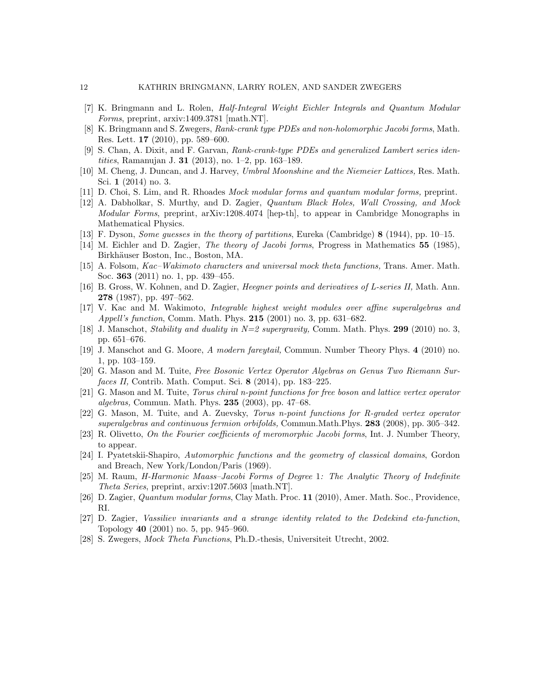- [7] K. Bringmann and L. Rolen, Half-Integral Weight Eichler Integrals and Quantum Modular Forms, preprint, arxiv:1409.3781 [math.NT].
- [8] K. Bringmann and S. Zwegers, Rank-crank type PDEs and non-holomorphic Jacobi forms, Math. Res. Lett. 17 (2010), pp. 589–600.
- [9] S. Chan, A. Dixit, and F. Garvan, Rank-crank-type PDEs and generalized Lambert series identities, Ramanujan J. 31 (2013), no. 1–2, pp. 163–189.
- [10] M. Cheng, J. Duncan, and J. Harvey, Umbral Moonshine and the Niemeier Lattices, Res. Math. Sci. 1 (2014) no. 3.
- [11] D. Choi, S. Lim, and R. Rhoades Mock modular forms and quantum modular forms, preprint.
- [12] A. Dabholkar, S. Murthy, and D. Zagier, Quantum Black Holes, Wall Crossing, and Mock Modular Forms, preprint, arXiv:1208.4074 [hep-th], to appear in Cambridge Monographs in Mathematical Physics.
- [13] F. Dyson, Some guesses in the theory of partitions, Eureka (Cambridge) 8 (1944), pp. 10–15.
- [14] M. Eichler and D. Zagier, *The theory of Jacobi forms*, Progress in Mathematics 55 (1985), Birkhäuser Boston, Inc., Boston, MA.
- [15] A. Folsom, Kac–Wakimoto characters and universal mock theta functions, Trans. Amer. Math. Soc. 363 (2011) no. 1, pp. 439–455.
- [16] B. Gross, W. Kohnen, and D. Zagier, Heegner points and derivatives of L-series II, Math. Ann. 278 (1987), pp. 497–562.
- [17] V. Kac and M. Wakimoto, Integrable highest weight modules over affine superalgebras and *Appell's function*, Comm. Math. Phys.  $215$  (2001) no. 3, pp. 631–682.
- [18] J. Manschot, Stability and duality in  $N=2$  supergravity, Comm. Math. Phys. 299 (2010) no. 3, pp. 651–676.
- [19] J. Manschot and G. Moore, A modern fareytail, Commun. Number Theory Phys. 4 (2010) no. 1, pp. 103–159.
- [20] G. Mason and M. Tuite, Free Bosonic Vertex Operator Algebras on Genus Two Riemann Surfaces II, Contrib. Math. Comput. Sci. 8 (2014), pp. 183–225.
- [21] G. Mason and M. Tuite, Torus chiral n-point functions for free boson and lattice vertex operator algebras, Commun. Math. Phys. 235 (2003), pp. 47–68.
- [22] G. Mason, M. Tuite, and A. Zuevsky, Torus n-point functions for R-graded vertex operator superalgebras and continuous fermion orbifolds, Commun.Math.Phys. 283 (2008), pp. 305–342.
- [23] R. Olivetto, On the Fourier coefficients of meromorphic Jacobi forms, Int. J. Number Theory, to appear.
- [24] I. Pyatetskii-Shapiro, Automorphic functions and the geometry of classical domains, Gordon and Breach, New York/London/Paris (1969).
- [25] M. Raum, H-Harmonic Maass–Jacobi Forms of Degree 1: The Analytic Theory of Indefinite Theta Series, preprint, arxiv:1207.5603 [math.NT].
- [26] D. Zagier, Quantum modular forms, Clay Math. Proc. 11 (2010), Amer. Math. Soc., Providence, RI.
- [27] D. Zagier, Vassiliev invariants and a strange identity related to the Dedekind eta-function, Topology 40 (2001) no. 5, pp. 945–960.
- [28] S. Zwegers, Mock Theta Functions, Ph.D.-thesis, Universiteit Utrecht, 2002.